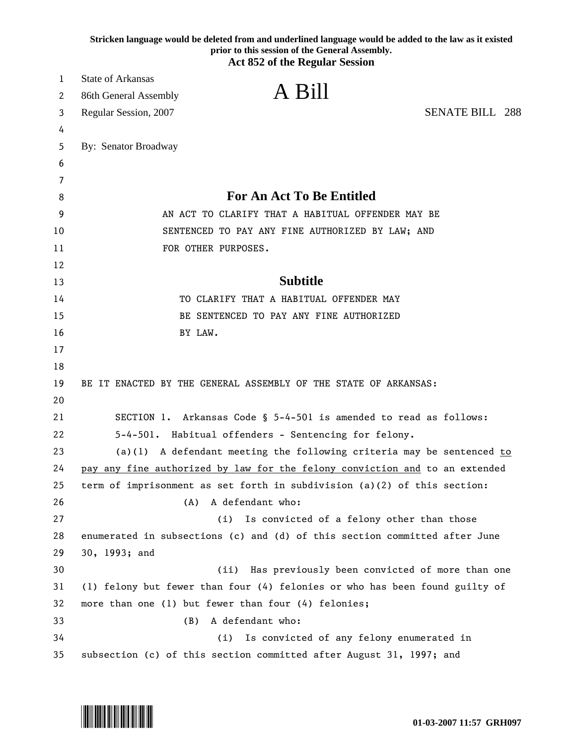|    | Stricken language would be deleted from and underlined language would be added to the law as it existed<br>prior to this session of the General Assembly.<br><b>Act 852 of the Regular Session</b> |
|----|----------------------------------------------------------------------------------------------------------------------------------------------------------------------------------------------------|
| 1  | <b>State of Arkansas</b>                                                                                                                                                                           |
| 2  | A Bill<br>86th General Assembly                                                                                                                                                                    |
| 3  | <b>SENATE BILL 288</b><br>Regular Session, 2007                                                                                                                                                    |
| 4  |                                                                                                                                                                                                    |
| 5  | By: Senator Broadway                                                                                                                                                                               |
| 6  |                                                                                                                                                                                                    |
| 7  |                                                                                                                                                                                                    |
| 8  | <b>For An Act To Be Entitled</b>                                                                                                                                                                   |
| 9  | AN ACT TO CLARIFY THAT A HABITUAL OFFENDER MAY BE                                                                                                                                                  |
| 10 | SENTENCED TO PAY ANY FINE AUTHORIZED BY LAW; AND                                                                                                                                                   |
| 11 | FOR OTHER PURPOSES.                                                                                                                                                                                |
| 12 |                                                                                                                                                                                                    |
| 13 | <b>Subtitle</b>                                                                                                                                                                                    |
| 14 | TO CLARIFY THAT A HABITUAL OFFENDER MAY                                                                                                                                                            |
| 15 | BE SENTENCED TO PAY ANY FINE AUTHORIZED                                                                                                                                                            |
| 16 | BY LAW.                                                                                                                                                                                            |
| 17 |                                                                                                                                                                                                    |
| 18 |                                                                                                                                                                                                    |
| 19 | BE IT ENACTED BY THE GENERAL ASSEMBLY OF THE STATE OF ARKANSAS:                                                                                                                                    |
| 20 |                                                                                                                                                                                                    |
| 21 | SECTION 1. Arkansas Code § 5-4-501 is amended to read as follows:                                                                                                                                  |
| 22 | 5-4-501. Habitual offenders - Sentencing for felony.                                                                                                                                               |
| 23 | (a)(1) A defendant meeting the following criteria may be sentenced to                                                                                                                              |
| 24 | pay any fine authorized by law for the felony conviction and to an extended                                                                                                                        |
| 25 | term of imprisonment as set forth in subdivision (a)(2) of this section:                                                                                                                           |
| 26 | A defendant who:<br>(A)                                                                                                                                                                            |
| 27 | Is convicted of a felony other than those<br>(i)                                                                                                                                                   |
| 28 | enumerated in subsections (c) and (d) of this section committed after June                                                                                                                         |
| 29 | 30, 1993; and                                                                                                                                                                                      |
| 30 | (ii)<br>Has previously been convicted of more than one                                                                                                                                             |
| 31 | (1) felony but fewer than four (4) felonies or who has been found guilty of                                                                                                                        |
| 32 | more than one (1) but fewer than four (4) felonies;                                                                                                                                                |
| 33 | A defendant who:<br>(B)                                                                                                                                                                            |
| 34 | Is convicted of any felony enumerated in<br>(i)                                                                                                                                                    |
| 35 | subsection (c) of this section committed after August 31, 1997; and                                                                                                                                |

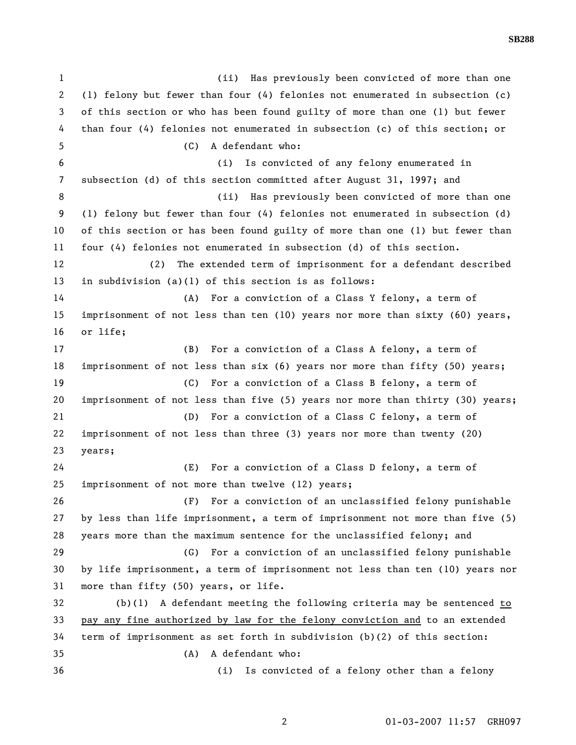1 (ii) Has previously been convicted of more than one 2 (1) felony but fewer than four (4) felonies not enumerated in subsection (c) 3 of this section or who has been found guilty of more than one (1) but fewer 4 than four (4) felonies not enumerated in subsection (c) of this section; or 5 (C) A defendant who: 6 (i) Is convicted of any felony enumerated in 7 subsection (d) of this section committed after August 31, 1997; and 8 (ii) Has previously been convicted of more than one 9 (1) felony but fewer than four (4) felonies not enumerated in subsection (d) 10 of this section or has been found guilty of more than one (1) but fewer than 11 four (4) felonies not enumerated in subsection (d) of this section. 12 (2) The extended term of imprisonment for a defendant described 13 in subdivision (a)(1) of this section is as follows: 14 (A) For a conviction of a Class Y felony, a term of 15 imprisonment of not less than ten (10) years nor more than sixty (60) years, 16 or life; 17 (B) For a conviction of a Class A felony, a term of 18 imprisonment of not less than six (6) years nor more than fifty (50) years; 19 (C) For a conviction of a Class B felony, a term of 20 imprisonment of not less than five (5) years nor more than thirty (30) years; 21 (D) For a conviction of a Class C felony, a term of 22 imprisonment of not less than three (3) years nor more than twenty (20) 23 years; 24 (E) For a conviction of a Class D felony, a term of 25 imprisonment of not more than twelve (12) years; 26 (F) For a conviction of an unclassified felony punishable 27 by less than life imprisonment, a term of imprisonment not more than five (5) 28 years more than the maximum sentence for the unclassified felony; and 29 (G) For a conviction of an unclassified felony punishable 30 by life imprisonment, a term of imprisonment not less than ten (10) years nor 31 more than fifty (50) years, or life. 32 (b)(1) A defendant meeting the following criteria may be sentenced to 33 pay any fine authorized by law for the felony conviction and to an extended 34 term of imprisonment as set forth in subdivision (b)(2) of this section: 35 (A) A defendant who: 36 (i) Is convicted of a felony other than a felony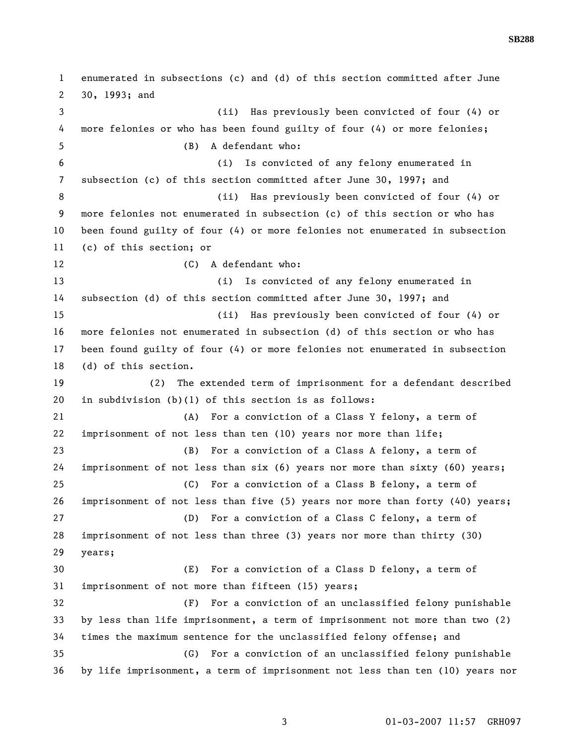1 enumerated in subsections (c) and (d) of this section committed after June 2 30, 1993; and 3 (ii) Has previously been convicted of four (4) or 4 more felonies or who has been found guilty of four (4) or more felonies; 5 (B) A defendant who: 6 (i) Is convicted of any felony enumerated in 7 subsection (c) of this section committed after June 30, 1997; and 8 (ii) Has previously been convicted of four (4) or 9 more felonies not enumerated in subsection (c) of this section or who has 10 been found guilty of four (4) or more felonies not enumerated in subsection 11 (c) of this section; or 12 (C) A defendant who: 13 (i) Is convicted of any felony enumerated in 14 subsection (d) of this section committed after June 30, 1997; and 15 (ii) Has previously been convicted of four (4) or 16 more felonies not enumerated in subsection (d) of this section or who has 17 been found guilty of four (4) or more felonies not enumerated in subsection 18 (d) of this section. 19 (2) The extended term of imprisonment for a defendant described 20 in subdivision (b)(1) of this section is as follows: 21 (A) For a conviction of a Class Y felony, a term of 22 imprisonment of not less than ten (10) years nor more than life; 23 (B) For a conviction of a Class A felony, a term of 24 imprisonment of not less than six (6) years nor more than sixty (60) years; 25 (C) For a conviction of a Class B felony, a term of 26 imprisonment of not less than five (5) years nor more than forty (40) years; 27 (D) For a conviction of a Class C felony, a term of 28 imprisonment of not less than three (3) years nor more than thirty (30) 29 years; 30 (E) For a conviction of a Class D felony, a term of 31 imprisonment of not more than fifteen (15) years; 32 (F) For a conviction of an unclassified felony punishable 33 by less than life imprisonment, a term of imprisonment not more than two (2) 34 times the maximum sentence for the unclassified felony offense; and 35 (G) For a conviction of an unclassified felony punishable 36 by life imprisonment, a term of imprisonment not less than ten (10) years nor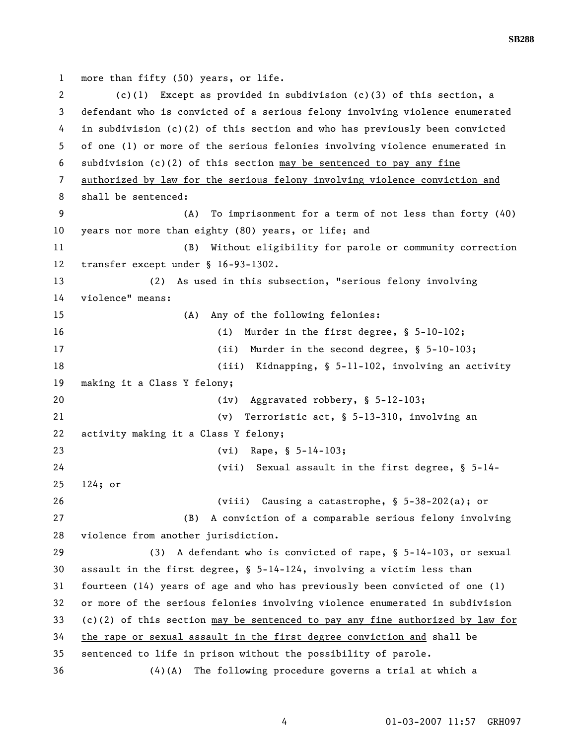1 more than fifty (50) years, or life.

2 (c)(1) Except as provided in subdivision (c)(3) of this section, a 3 defendant who is convicted of a serious felony involving violence enumerated 4 in subdivision (c)(2) of this section and who has previously been convicted 5 of one (1) or more of the serious felonies involving violence enumerated in 6 subdivision (c)(2) of this section may be sentenced to pay any fine 7 authorized by law for the serious felony involving violence conviction and 8 shall be sentenced: 9 (A) To imprisonment for a term of not less than forty (40) 10 years nor more than eighty (80) years, or life; and 11 (B) Without eligibility for parole or community correction 12 transfer except under § 16-93-1302. 13 (2) As used in this subsection, "serious felony involving 14 violence" means: 15 (A) Any of the following felonies: 16 (i) Murder in the first degree, § 5-10-102; 17 (ii) Murder in the second degree, § 5-10-103; 18 (iii) Kidnapping, § 5-11-102, involving an activity 19 making it a Class Y felony; 20 (iv) Aggravated robbery, § 5-12-103; 21 (v) Terroristic act, § 5-13-310, involving an 22 activity making it a Class Y felony; 23 (vi) Rape, § 5-14-103; 24 (vii) Sexual assault in the first degree, § 5-14- 25 124; or 26 (viii) Causing a catastrophe, § 5-38-202(a); or 27 (B) A conviction of a comparable serious felony involving 28 violence from another jurisdiction. 29 (3) A defendant who is convicted of rape, § 5-14-103, or sexual 30 assault in the first degree, § 5-14-124, involving a victim less than 31 fourteen (14) years of age and who has previously been convicted of one (1) 32 or more of the serious felonies involving violence enumerated in subdivision 33 (c)(2) of this section may be sentenced to pay any fine authorized by law for 34 the rape or sexual assault in the first degree conviction and shall be 35 sentenced to life in prison without the possibility of parole. 36 (4)(A) The following procedure governs a trial at which a

4 01-03-2007 11:57 GRH097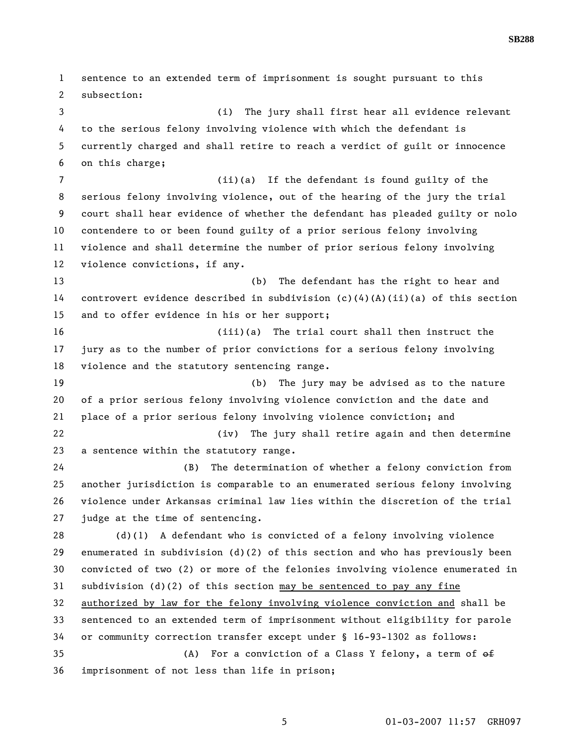1 sentence to an extended term of imprisonment is sought pursuant to this 2 subsection: 3 (i) The jury shall first hear all evidence relevant 4 to the serious felony involving violence with which the defendant is 5 currently charged and shall retire to reach a verdict of guilt or innocence 6 on this charge; 7 (ii)(a) If the defendant is found guilty of the 8 serious felony involving violence, out of the hearing of the jury the trial 9 court shall hear evidence of whether the defendant has pleaded guilty or nolo 10 contendere to or been found guilty of a prior serious felony involving 11 violence and shall determine the number of prior serious felony involving 12 violence convictions, if any. 13 (b) The defendant has the right to hear and 14 controvert evidence described in subdivision (c)(4)(A)(ii)(a) of this section 15 and to offer evidence in his or her support; 16 (iii)(a) The trial court shall then instruct the 17 jury as to the number of prior convictions for a serious felony involving 18 violence and the statutory sentencing range. 19 (b) The jury may be advised as to the nature 20 of a prior serious felony involving violence conviction and the date and 21 place of a prior serious felony involving violence conviction; and 22 (iv) The jury shall retire again and then determine 23 a sentence within the statutory range. 24 (B) The determination of whether a felony conviction from 25 another jurisdiction is comparable to an enumerated serious felony involving 26 violence under Arkansas criminal law lies within the discretion of the trial 27 judge at the time of sentencing. 28 (d)(1) A defendant who is convicted of a felony involving violence 29 enumerated in subdivision (d)(2) of this section and who has previously been 30 convicted of two (2) or more of the felonies involving violence enumerated in 31 subdivision (d)(2) of this section may be sentenced to pay any fine 32 authorized by law for the felony involving violence conviction and shall be 33 sentenced to an extended term of imprisonment without eligibility for parole 34 or community correction transfer except under § 16-93-1302 as follows: 35 (A) For a conviction of a Class Y felony, a term of  $\theta$ 36 imprisonment of not less than life in prison;

**SB288** 

5 01-03-2007 11:57 GRH097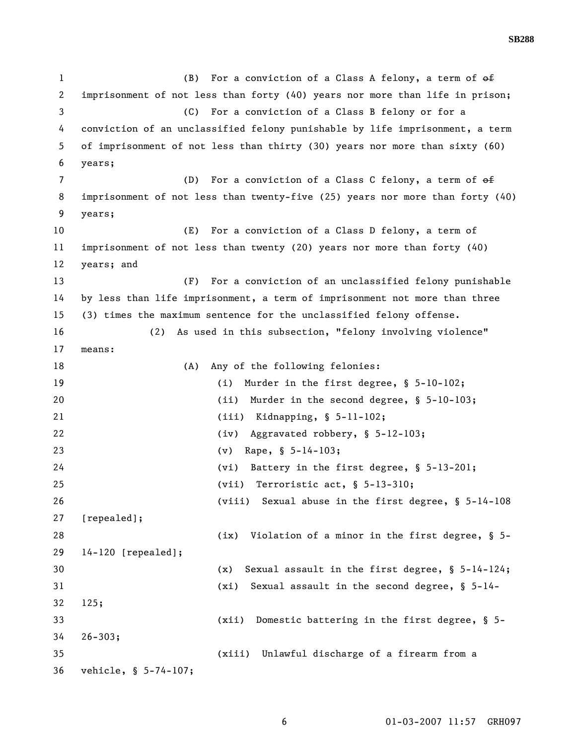1 (B) For a conviction of a Class A felony, a term of  $\theta$ 2 imprisonment of not less than forty (40) years nor more than life in prison; 3 (C) For a conviction of a Class B felony or for a 4 conviction of an unclassified felony punishable by life imprisonment, a term 5 of imprisonment of not less than thirty (30) years nor more than sixty (60) 6 years; 7 (D) For a conviction of a Class C felony, a term of  $\theta$ 8 imprisonment of not less than twenty-five (25) years nor more than forty (40) 9 years; 10 (E) For a conviction of a Class D felony, a term of 11 imprisonment of not less than twenty (20) years nor more than forty (40) 12 years; and 13 (F) For a conviction of an unclassified felony punishable 14 by less than life imprisonment, a term of imprisonment not more than three 15 (3) times the maximum sentence for the unclassified felony offense. 16 (2) As used in this subsection, "felony involving violence" 17 means: 18 (A) Any of the following felonies: 19 (i) Murder in the first degree, § 5-10-102; 20 (ii) Murder in the second degree, § 5-10-103; 21 (iii) Kidnapping, § 5-11-102; 22 (iv) Aggravated robbery, § 5-12-103; 23 (v) Rape, § 5-14-103; 24 (vi) Battery in the first degree, § 5-13-201; 25 (vii) Terroristic act, § 5-13-310; 26 (viii) Sexual abuse in the first degree, § 5-14-108 27 [repealed]; 28 (ix) Violation of a minor in the first degree, § 5-29 14-120 [repealed]; 30 (x) Sexual assault in the first degree, § 5-14-124; 31 (xi) Sexual assault in the second degree, § 5-14- 32 125; 33 (xii) Domestic battering in the first degree, § 5- 34 26-303; 35 (xiii) Unlawful discharge of a firearm from a 36 vehicle, § 5-74-107;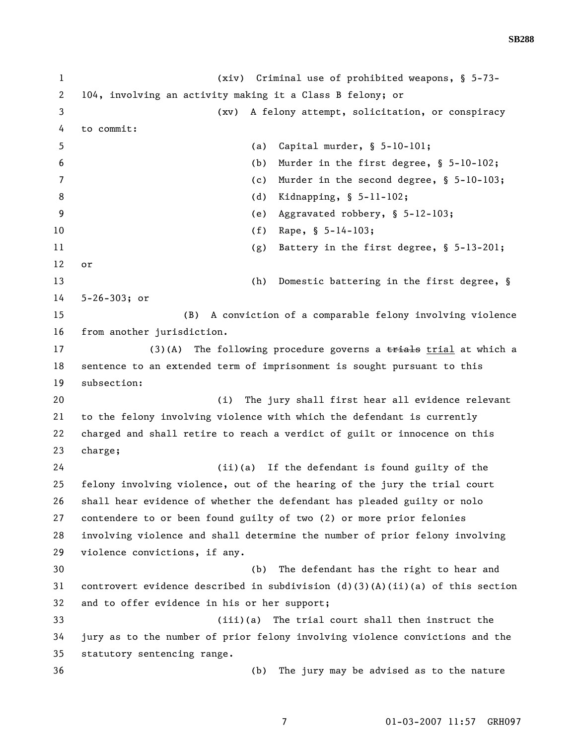**SB288** 

1 (xiv) Criminal use of prohibited weapons, § 5-73- 2 104, involving an activity making it a Class B felony; or 3 (xv) A felony attempt, solicitation, or conspiracy 4 to commit: 5 (a) Capital murder, § 5-10-101; 6 (b) Murder in the first degree, § 5-10-102; 7 (c) Murder in the second degree, § 5-10-103; 8 (d) Kidnapping, § 5-11-102; 9 (e) Aggravated robbery, § 5-12-103; 10 (f) Rape,  $\S$  5-14-103; 11 (g) Battery in the first degree, § 5-13-201; 12 or 13 (h) Domestic battering in the first degree, § 14 5-26-303; or 15 (B) A conviction of a comparable felony involving violence 16 from another jurisdiction. 17 (3)(A) The following procedure governs a trial at which a 18 sentence to an extended term of imprisonment is sought pursuant to this 19 subsection: 20 (i) The jury shall first hear all evidence relevant 21 to the felony involving violence with which the defendant is currently 22 charged and shall retire to reach a verdict of guilt or innocence on this 23 charge; 24 (ii)(a) If the defendant is found guilty of the 25 felony involving violence, out of the hearing of the jury the trial court 26 shall hear evidence of whether the defendant has pleaded guilty or nolo 27 contendere to or been found guilty of two (2) or more prior felonies 28 involving violence and shall determine the number of prior felony involving 29 violence convictions, if any. 30 (b) The defendant has the right to hear and 31 controvert evidence described in subdivision (d)(3)(A)(ii)(a) of this section 32 and to offer evidence in his or her support; 33 (iii)(a) The trial court shall then instruct the 34 jury as to the number of prior felony involving violence convictions and the 35 statutory sentencing range. 36 (b) The jury may be advised as to the nature